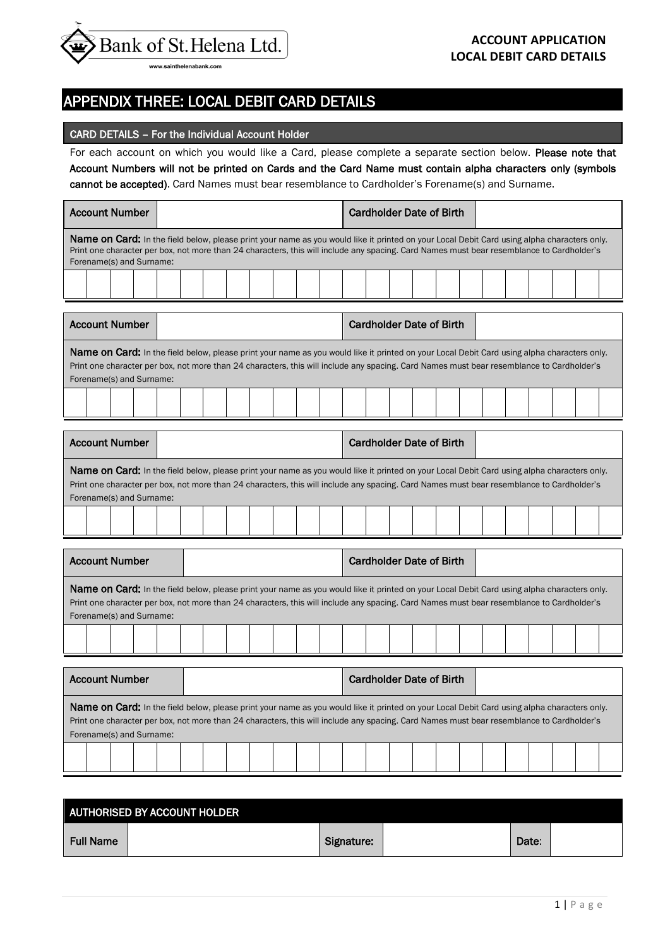

APPENDIX THREE: LOCAL DEBIT CARD DETAILS

## CARD DETAILS – For the Individual Account Holder

For each account on which you would like a Card, please complete a separate section below. Please note that Account Numbers will not be printed on Cards and the Card Name must contain alpha characters only (symbols cannot be accepted). Card Names must bear resemblance to Cardholder's Forename(s) and Surname.

Account Number | Cardholder Date of Birth Name on Card: In the field below, please print your name as you would like it printed on your Local Debit Card using alpha characters only. Print one character per box, not more than 24 characters, this will include any spacing. Card Names must bear resemblance to Cardholder's Forename(s) and Surname: Ē Account Number | The Cardholder Date of Birth Name on Card: In the field below, please print your name as you would like it printed on your Local Debit Card using alpha characters only. Print one character per box, not more than 24 characters, this will include any spacing. Card Names must bear resemblance to Cardholder's Forename(s) and Surname: Ē Account Number | The Cardholder Date of Birth Name on Card: In the field below, please print your name as you would like it printed on your Local Debit Card using alpha characters only. Print one character per box, not more than 24 characters, this will include any spacing. Card Names must bear resemblance to Cardholder's Forename(s) and Surname:

| <b>Account Number</b>                                                                                                                                                                                                                                                                                                |  | <b>Cardholder Date of Birth</b> |  |  |  |  |  |  |  |
|----------------------------------------------------------------------------------------------------------------------------------------------------------------------------------------------------------------------------------------------------------------------------------------------------------------------|--|---------------------------------|--|--|--|--|--|--|--|
| Name on Card: In the field below, please print your name as you would like it printed on your Local Debit Card using alpha characters only.<br>Print one character per box, not more than 24 characters, this will include any spacing. Card Names must bear resemblance to Cardholder's<br>Forename(s) and Surname: |  |                                 |  |  |  |  |  |  |  |
|                                                                                                                                                                                                                                                                                                                      |  |                                 |  |  |  |  |  |  |  |
| Account Number<br>Cardholder Date of Rirth                                                                                                                                                                                                                                                                           |  |                                 |  |  |  |  |  |  |  |

| <b>Account Number</b>                                                                                                                                                                                                                                                                                                |  | <b>Cardholder Date of Birth</b> |  |  |  |  |  |
|----------------------------------------------------------------------------------------------------------------------------------------------------------------------------------------------------------------------------------------------------------------------------------------------------------------------|--|---------------------------------|--|--|--|--|--|
| Name on Card: In the field below, please print your name as you would like it printed on your Local Debit Card using alpha characters only.<br>Print one character per box, not more than 24 characters, this will include any spacing. Card Names must bear resemblance to Cardholder's<br>Forename(s) and Surname: |  |                                 |  |  |  |  |  |
|                                                                                                                                                                                                                                                                                                                      |  |                                 |  |  |  |  |  |

| AUTHORISED BY ACCOUNT HOLDER |  |            |  |       |  |  |  |  |  |
|------------------------------|--|------------|--|-------|--|--|--|--|--|
| <b>Full Name</b>             |  | Signature: |  | Date: |  |  |  |  |  |